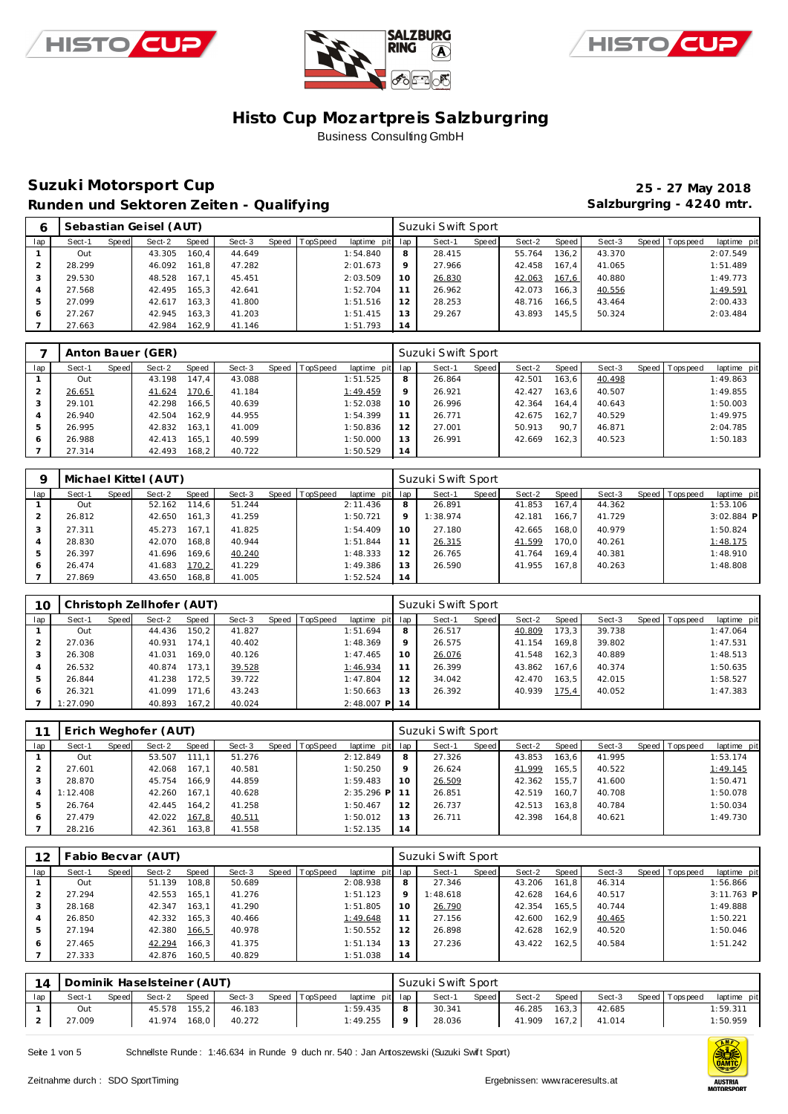





### **Suzuki Motorsport Cup 25 - 27 May 2018** Runden und Sektoren Zeiten - Qualifying **Salzburgring - 4240 mtr.** Salzburgring - 4240 mtr.

|     |        |       | Sebastian Geisel (AUT) |       |        |       |          |                 |    | Suzuki Swift Sport |       |        |       |        |                |             |
|-----|--------|-------|------------------------|-------|--------|-------|----------|-----------------|----|--------------------|-------|--------|-------|--------|----------------|-------------|
| lap | Sect-1 | Speed | Sect-2                 | Speed | Sect-3 | Speed | TopSpeed | laptime pit lap |    | Sect-1             | Speed | Sect-2 | Speed | Sect-3 | Speed Topspeed | laptime pit |
|     | Out    |       | 43.305                 | 160.4 | 44.649 |       |          | 1:54.840        | 8  | 28.415             |       | 55.764 | 136.2 | 43.370 |                | 2:07.549    |
|     | 28.299 |       | 46.092                 | 161.8 | 47.282 |       |          | 2:01.673        | 9  | 27.966             |       | 42.458 | 167.4 | 41.065 |                | 1:51.489    |
|     | 29.530 |       | 48.528                 | 167.1 | 45.451 |       |          | 2:03.509        | 10 | 26.830             |       | 42.063 | 167,6 | 40.880 |                | 1:49.773    |
|     | 27.568 |       | 42.495                 | 165.3 | 42.641 |       |          | 1:52.704        | 11 | 26.962             |       | 42.073 | 166.3 | 40.556 |                | 1:49.591    |
|     | 27.099 |       | 42.617                 | 163.3 | 41.800 |       |          | 1:51.516        | 12 | 28.253             |       | 48.716 | 166.5 | 43.464 |                | 2:00.433    |
| 6   | 27.267 |       | 42.945                 | 163.3 | 41.203 |       |          | 1:51.415        | 13 | 29.267             |       | 43.893 | 145.5 | 50.324 |                | 2:03.484    |
|     | 27.663 |       | 42.984                 | 162.9 | 41.146 |       |          | 1:51.793        | 14 |                    |       |        |       |        |                |             |

|     |        |       | Anton Bauer (GER) |       |        |         |          |             |     | Suzuki Swift Sport |       |        |       |        |                 |             |
|-----|--------|-------|-------------------|-------|--------|---------|----------|-------------|-----|--------------------|-------|--------|-------|--------|-----------------|-------------|
| lap | Sect-1 | Speed | Sect-2            | Speed | Sect-3 | Speed ' | TopSpeed | laptime pit | lap | Sect-1             | Speed | Sect-2 | Speed | Sect-3 | Speed Tops peed | laptime pit |
|     | Out    |       | 43.198            | 147.4 | 43.088 |         |          | 1:51.525    | 8   | 26.864             |       | 42.501 | 163.6 | 40.498 |                 | 1:49.863    |
|     | 26.651 |       | 41.624            | 170,6 | 41.184 |         |          | 1:49.459    | 9   | 26.921             |       | 42.427 | 163.6 | 40.507 |                 | 1:49.855    |
| 3   | 29.101 |       | 42.298            | 166.5 | 40.639 |         |          | 1:52.038    | 10  | 26.996             |       | 42.364 | 164.4 | 40.643 |                 | 1:50.003    |
| 4   | 26.940 |       | 42.504            | 162.9 | 44.955 |         |          | 1:54.399    | 11  | 26.771             |       | 42.675 | 162.7 | 40.529 |                 | 1:49.975    |
| 5   | 26.995 |       | 42.832            | 163.1 | 41.009 |         |          | 1:50.836    | 12  | 27.001             |       | 50.913 | 90.7  | 46.871 |                 | 2:04.785    |
| 6   | 26.988 |       | 42.413            | 165.1 | 40.599 |         |          | 1:50.000    | 13  | 26.991             |       | 42.669 | 162.3 | 40.523 |                 | 1:50.183    |
|     | 27.314 |       | 42.493            | 168.2 | 40.722 |         |          | 1:50.529    | 14  |                    |       |        |       |        |                 |             |

|     |        |       | Michael Kittel (AUT) |       |        |                |             |     | Suzuki Swift Sport |       |        |       |        |                |              |
|-----|--------|-------|----------------------|-------|--------|----------------|-------------|-----|--------------------|-------|--------|-------|--------|----------------|--------------|
| lap | Sect-1 | Speed | Sect-2               | Speed | Sect-3 | Speed TopSpeed | laptime pit | lap | Sect-1             | Speed | Sect-2 | Speed | Sect-3 | Speed Topspeed | laptime pit  |
|     | Out    |       | 52.162               | 114.6 | 51.244 |                | 2:11.436    | 8   | 26.891             |       | 41.853 | 167.4 | 44.362 |                | 1:53.106     |
|     | 26.812 |       | 42.650               | 161.3 | 41.259 |                | 1:50.721    | 9   | 1:38.974           |       | 42.181 | 166.7 | 41.729 |                | $3:02.884$ P |
| 3   | 27.311 |       | 45.273               | 167.1 | 41.825 |                | 1:54.409    | 10  | 27.180             |       | 42.665 | 168.0 | 40.979 |                | 1:50.824     |
| 4   | 28.830 |       | 42.070               | 168.8 | 40.944 |                | 1:51.844    | 11  | 26.315             |       | 41.599 | 170.0 | 40.261 |                | 1:48.175     |
| 5   | 26.397 |       | 41.696               | 169.6 | 40.240 |                | 1:48.333    | 12  | 26.765             |       | 41.764 | 169.4 | 40.381 |                | 1:48.910     |
| 6   | 26.474 |       | 41.683               | 170,2 | 41.229 |                | 1:49.386    | 13  | 26.590             |       | 41.955 | 167.8 | 40.263 |                | 1:48.808     |
|     | 27.869 |       | 43.650               | 168.8 | 41.005 |                | 1:52.524    | 14  |                    |       |        |       |        |                |              |

| 10  |          |       | Christoph Zellhofer (AUT) |       |        |                |              |             | Suzuki Swift Sport |       |        |       |        |                |             |
|-----|----------|-------|---------------------------|-------|--------|----------------|--------------|-------------|--------------------|-------|--------|-------|--------|----------------|-------------|
| lap | Sect-1   | Speed | Sect-2                    | Speed | Sect-3 | Speed TopSpeed | laptime pit  | lap         | Sect-1             | Speed | Sect-2 | Speed | Sect-3 | Speed Topspeed | laptime pit |
|     | Out      |       | 44.436                    | 150.2 | 41.827 |                | 1:51.694     | 8           | 26.517             |       | 40.809 | 173.3 | 39.738 |                | 1:47.064    |
|     | 27.036   |       | 40.931                    | 174.1 | 40.402 |                | 1:48.369     | $\mathsf Q$ | 26.575             |       | 41.154 | 169.8 | 39.802 |                | 1:47.531    |
| 3   | 26.308   |       | 41.031                    | 169.0 | 40.126 |                | 1:47.465     | 10          | 26.076             |       | 41.548 | 162.3 | 40.889 |                | 1:48.513    |
| 4   | 26.532   |       | 40.874                    | 173.1 | 39.528 |                | 1:46.934     | 11          | 26.399             |       | 43.862 | 167.6 | 40.374 |                | 1:50.635    |
| 5   | 26.844   |       | 41.238                    | 172.5 | 39.722 |                | 1:47.804     | 12          | 34.042             |       | 42.470 | 163.5 | 42.015 |                | 1:58.527    |
| 6   | 26.321   |       | 41.099                    | 171.6 | 43.243 |                | 1:50.663     | 13          | 26.392             |       | 40.939 | 175,4 | 40.052 |                | 1:47.383    |
|     | 1:27.090 |       | 40.893                    | 167.2 | 40.024 |                | $2:48.007$ P | 14          |                    |       |        |       |        |                |             |

|     |          |       | Erich Weghofer (AUT) |       |        |       |          |                 |         | Suzuki Swift Sport |         |        |       |        |                |             |
|-----|----------|-------|----------------------|-------|--------|-------|----------|-----------------|---------|--------------------|---------|--------|-------|--------|----------------|-------------|
| lap | Sect-1   | Speed | Sect-2               | Speed | Sect-3 | Speed | TopSpeed | laptime pit lap |         | Sect-1             | Speed I | Sect-2 | Speed | Sect-3 | Speed Topspeed | laptime pit |
|     | Out      |       | 53.507               | 111.1 | 51.276 |       |          | 2:12.849        | 8       | 27.326             |         | 43.853 | 163,6 | 41.995 |                | 1:53.174    |
|     | 27.601   |       | 42.068               | 167.1 | 40.581 |       |          | 1:50.250        | $\circ$ | 26.624             |         | 41.999 | 165.5 | 40.522 |                | 1:49.145    |
| 3   | 28.870   |       | 45.754               | 166.9 | 44.859 |       |          | 1:59.483        | 10      | 26.509             |         | 42.362 | 155.7 | 41.600 |                | 1:50.471    |
|     | 1:12.408 |       | 42.260               | 167.1 | 40.628 |       |          | $2:35.296$ P    |         | 26.851             |         | 42.519 | 160.7 | 40.708 |                | 1:50.078    |
|     | 26.764   |       | 42.445               | 164.2 | 41.258 |       |          | 1:50.467        | 12      | 26.737             |         | 42.513 | 163.8 | 40.784 |                | 1:50.034    |
| 6   | 27.479   |       | 42.022               | 167,8 | 40.511 |       |          | 1:50.012        | 13      | 26.711             |         | 42.398 | 164.8 | 40.621 |                | 1:49.730    |
|     | 28.216   |       | 42.361               | 163.8 | 41.558 |       |          | 1:52.135        | 14      |                    |         |        |       |        |                |             |

| 12  |        |       | Fabio Becvar (AUT) |       |        |       |          |             |         | Suzuki Swift Sport |       |        |       |        |                |              |  |
|-----|--------|-------|--------------------|-------|--------|-------|----------|-------------|---------|--------------------|-------|--------|-------|--------|----------------|--------------|--|
| lap | Sect-1 | Speed | Sect-2             | Speed | Sect-3 | Speed | TopSpeed | laptime pit | lap     | Sect-1             | Speed | Sect-2 | Speed | Sect-3 | Speed Topspeed | laptime pit  |  |
|     | Out    |       | 51.139             | 108.8 | 50.689 |       |          | 2:08.938    | 8       | 27.346             |       | 43.206 | 161.8 | 46.314 |                | 1:56.866     |  |
|     | 27.294 |       | 42.553             | 165.1 | 41.276 |       |          | 1:51.123    | $\circ$ | 1:48.618           |       | 42.628 | 164.6 | 40.517 |                | $3:11.763$ P |  |
|     | 28.168 |       | 42.347             | 163.1 | 41.290 |       |          | 1:51.805    | 10      | 26.790             |       | 42.354 | 165.5 | 40.744 |                | 1:49.888     |  |
|     | 26.850 |       | 42.332             | 165.3 | 40.466 |       |          | 1:49.648    | 11      | 27.156             |       | 42.600 | 162.9 | 40.465 |                | 1:50.221     |  |
|     | 27.194 |       | 42.380             | 166,5 | 40.978 |       |          | 1:50.552    | 12      | 26.898             |       | 42.628 | 162.9 | 40.520 |                | 1:50.046     |  |
| 6   | 27.465 |       | 42.294             | 166.3 | 41.375 |       |          | 1:51.134    | 13      | 27.236             |       | 43.422 | 162.5 | 40.584 |                | 1:51.242     |  |
|     | 27.333 |       | 42.876             | 160.5 | 40.829 |       |          | 1:51.038    | 14      |                    |       |        |       |        |                |              |  |

| 14 |        |       | Dominik Haselsteiner (AUT) |       |        |                |                 |         | Suzuki Swift Sport |       |        |       |        |                   |             |  |
|----|--------|-------|----------------------------|-------|--------|----------------|-----------------|---------|--------------------|-------|--------|-------|--------|-------------------|-------------|--|
|    | Sect-1 | Speed | Sect-2                     | Speed | Sect-3 | Speed TopSpeed | laptime pit lap |         | Sect-1             | Speed | Sect-2 | Speed | Sect-3 | Speed   Tops peed | laptime pit |  |
|    | Out    |       | 45.578                     | 155.2 | 46.183 |                | 1:59.435        | -8      | 30.341             |       | 46.285 | 163.3 | 42.685 |                   | 1:59.311    |  |
|    | 27.009 |       | 41.974                     | 168.0 | 40.272 |                | 1:49.255        | $\circ$ | 28.036             |       | 41.909 | 167,2 | 41.014 |                   | 1:50.959    |  |

Seite 1 von 5 Schnellste Runde : 1:46.634 in Runde 9 duch nr. 540 : Jan Antoszewski (Suzuki Swift Sport)

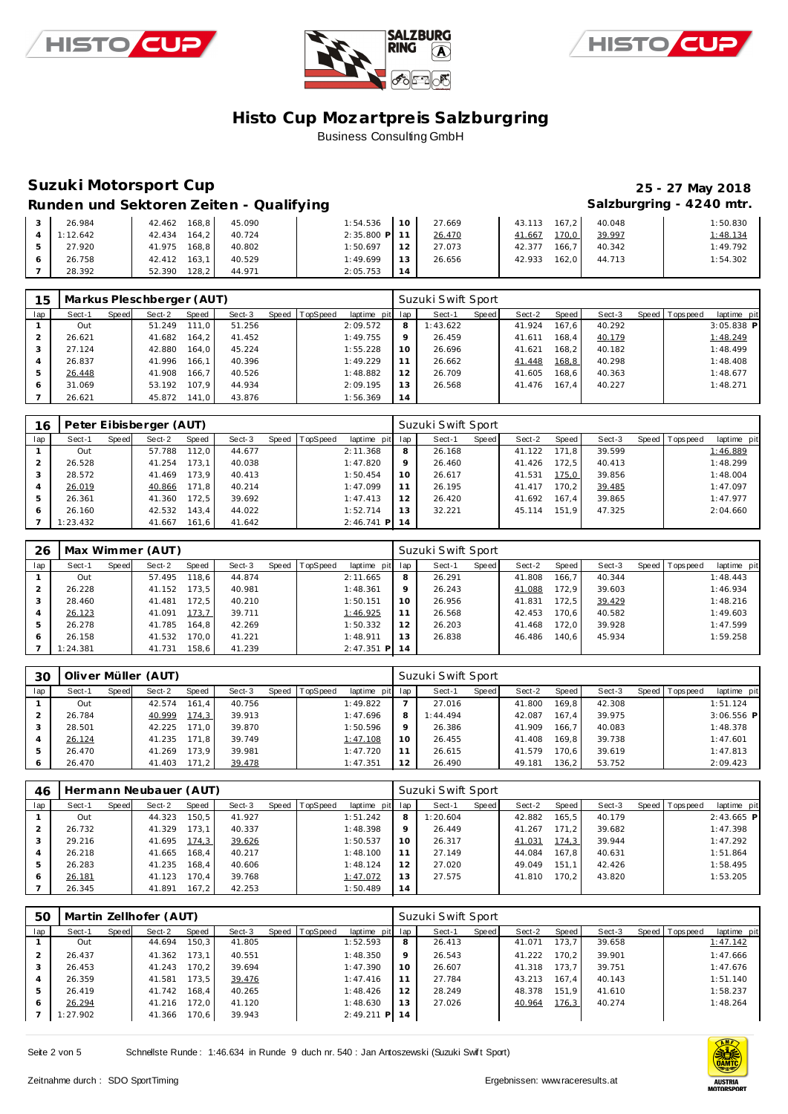





### **Suzuki Motorsport Cup 25 - 27 May 2018**

### Runden und Sektoren Zeiten - Qualifying **Salzburgring - 4240 mtr.** Salzburgring - 4240 mtr.

|  | 26.984   | 168.8<br>42.462 | 45.090 | 1:54.536      | $-10$ | 27.669 | 43.113<br>$167.2$ J | 40.048 | 1:50.830 |
|--|----------|-----------------|--------|---------------|-------|--------|---------------------|--------|----------|
|  | 1:12.642 | 42.434<br>164.2 | 40.724 | 2:35.800 P 11 |       | 26.470 | 170,0<br>41.667     | 39.997 | 1:48.134 |
|  | 27.920   | 168.8<br>41.975 | 40.802 | 1:50.697      | 12    | 27.073 | 166.7<br>42.377     | 40.342 | 1:49.792 |
|  | 26.758   | 163.1<br>42.412 | 40.529 | 1:49.699      | 13    | 26.656 | 162.0<br>42.933     | 44.713 | 1:54.302 |
|  | 28.392   | 128,2<br>52.390 | 44.971 | 2:05.753      |       |        |                     |        |          |

| 15  |        |       | Markus Pleschberger (AUT) |           |        |         |          |             |         | Suzuki Swift Sport |       |        |       |        |                |              |
|-----|--------|-------|---------------------------|-----------|--------|---------|----------|-------------|---------|--------------------|-------|--------|-------|--------|----------------|--------------|
| lap | Sect-1 | Speed | Sect-2                    | Speed     | Sect-3 | Speed I | TopSpeed | laptime pit | lap     | Sect-1             | Speed | Sect-2 | Speed | Sect-3 | Speed Topspeed | laptime pit  |
|     | Out    |       | 51.249                    | $111.0$ J | 51.256 |         |          | 2:09.572    | 8       | 1:43.622           |       | 41.924 | 167.6 | 40.292 |                | $3:05.838$ P |
| 2   | 26.621 |       | 41.682                    | 164.2     | 41.452 |         |          | 1:49.755    | $\circ$ | 26.459             |       | 41.611 | 168.4 | 40.179 |                | 1:48.249     |
| 3   | 27.124 |       | 42.880                    | 164.0     | 45.224 |         |          | 1:55.228    | 10      | 26.696             |       | 41.621 | 168.2 | 40.182 |                | 1:48.499     |
| 4   | 26.837 |       | 41.996                    | 166.1     | 40.396 |         |          | 1:49.229    | 11      | 26.662             |       | 41.448 | 168,8 | 40.298 |                | 1:48.408     |
| 5   | 26.448 |       | 41.908                    | 166.7     | 40.526 |         |          | 1:48.882    | 12      | 26.709             |       | 41.605 | 168.6 | 40.363 |                | 1:48.677     |
| 6   | 31.069 |       | 53.192                    | 107.9     | 44.934 |         |          | 2:09.195    | 13      | 26.568             |       | 41.476 | 167.4 | 40.227 |                | 1:48.271     |
|     | 26.621 |       | 45.872                    | 141.0     | 43.876 |         |          | 1:56.369    | 14      |                    |       |        |       |        |                |              |

| 16  |          |       | Peter Eibisberger (AUT) |       |        |                  |              |             | Suzuki Swift Sport |       |        |       |        |                |             |
|-----|----------|-------|-------------------------|-------|--------|------------------|--------------|-------------|--------------------|-------|--------|-------|--------|----------------|-------------|
| lap | Sect-1   | Speed | Sect-2                  | Speed | Sect-3 | Speed   TopSpeed | laptime pit  | lap         | Sect-1             | Speed | Sect-2 | Speed | Sect-3 | Speed Topspeed | laptime pit |
|     | Out      |       | 57.788                  | 112.0 | 44.677 |                  | 2:11.368     | 8           | 26.168             |       | 41.122 | 171.8 | 39.599 |                | 1:46.889    |
|     | 26.528   |       | 41.254                  | 173.1 | 40.038 |                  | 1:47.820     | $\mathsf Q$ | 26.460             |       | 41.426 | 172.5 | 40.413 |                | 1:48.299    |
| 3   | 28.572   |       | 41.469                  | 173.9 | 40.413 |                  | 1:50.454     | 10          | 26.617             |       | 41.531 | 175.0 | 39.856 |                | 1:48.004    |
| 4   | 26.019   |       | 40.866                  | 171.8 | 40.214 |                  | 1:47.099     | 11          | 26.195             |       | 41.417 | 170.2 | 39.485 |                | 1:47.097    |
| 5   | 26.361   |       | 41.360                  | 172.5 | 39.692 |                  | 1:47.413     | 12          | 26.420             |       | 41.692 | 167.4 | 39.865 |                | 1:47.977    |
| 6   | 26.160   |       | 42.532                  | 143.4 | 44.022 |                  | 1:52.714     | 13          | 32.221             |       | 45.114 | 151.9 | 47.325 |                | 2:04.660    |
|     | 1:23.432 |       | 41.667                  | 161.6 | 41.642 |                  | $2:46.741$ P | 14          |                    |       |        |       |        |                |             |

| 26  |          |       | Max Wimmer (AUT) |       |        |                |                 |    | Suzuki Swift Sport |       |        |       |        |                |             |
|-----|----------|-------|------------------|-------|--------|----------------|-----------------|----|--------------------|-------|--------|-------|--------|----------------|-------------|
| lap | Sect-1   | Speed | Sect-2           | Speed | Sect-3 | Speed TopSpeed | laptime pit lap |    | Sect-1             | Speed | Sect-2 | Speed | Sect-3 | Speed Topspeed | laptime pit |
|     | Out      |       | 57.495           | 118.6 | 44.874 |                | 2:11.665        | 8  | 26.291             |       | 41.808 | 166.7 | 40.344 |                | 1:48.443    |
|     | 26.228   |       | 41.152           | 173.5 | 40.981 |                | 1:48.361        | 9  | 26.243             |       | 41.088 | 172.9 | 39.603 |                | 1:46.934    |
|     | 28.460   |       | 41.481           | 172.5 | 40.210 |                | 1:50.151        | 10 | 26.956             |       | 41.831 | 172.5 | 39.429 |                | 1:48.216    |
| 4   | 26.123   |       | 41.091           | 173,7 | 39.711 |                | 1:46.925        | 11 | 26.568             |       | 42.453 | 170.6 | 40.582 |                | 1:49.603    |
| 5   | 26.278   |       | 41.785           | 164.8 | 42.269 |                | 1:50.332        | 12 | 26.203             |       | 41.468 | 172.0 | 39.928 |                | 1:47.599    |
| 6   | 26.158   |       | 41.532           | 170.0 | 41.221 |                | 1:48.911        | 13 | 26.838             |       | 46.486 | 140.6 | 45.934 |                | 1:59.258    |
|     | 1:24.381 |       | 41.731           | 158.6 | 41.239 |                | $2:47.351$ P    | 14 |                    |       |        |       |        |                |             |

| 30      |        |       | Oliver Müller (AUT) |       |        |       |          |             |         | Suzuki Swift Sport |       |        |       |        |       |            |              |
|---------|--------|-------|---------------------|-------|--------|-------|----------|-------------|---------|--------------------|-------|--------|-------|--------|-------|------------|--------------|
| lap     | Sect-1 | Speed | Sect-2              | Speed | Sect-3 | Speed | TopSpeed | laptime pit | lap     | Sect-1             | Speed | Sect-2 | Speed | Sect-3 | Speed | T ops peed | laptime pit  |
|         | Out    |       | 42.574              | 161.4 | 40.756 |       |          | 1:49.822    |         | 27.016             |       | 41.800 | 169.8 | 42.308 |       |            | 1:51.124     |
|         | 26.784 |       | 40.999              | 174,3 | 39.913 |       |          | 1:47.696    | 8       | 1:44.494           |       | 42.087 | 167.4 | 39.975 |       |            | $3:06.556$ P |
|         | 28.501 |       | 42.225              | 171.0 | 39.870 |       |          | 1:50.596    | $\circ$ | 26.386             |       | 41.909 | 166.7 | 40.083 |       |            | 1:48.378     |
|         | 26.124 |       | 41.235              | 171.8 | 39.749 |       |          | 1:47.108    | 10      | 26.455             |       | 41.408 | 169.8 | 39.738 |       |            | 1:47.601     |
|         | 26.470 |       | 41.269              | 173.9 | 39.981 |       |          | 1:47.720    | 11      | 26.615             |       | 41.579 | 170.6 | 39.619 |       |            | 1:47.813     |
| $\circ$ | 26.470 |       | 41.403              | 171.2 | 39.478 |       |          | 1:47.351    | 12      | 26.490             |       | 49.181 | 136.2 | 53.752 |       |            | 2:09.423     |

| 46             |        |       | Hermann Neubauer (AUT) |       |        |       |                 |                 |         | Suzuki Swift Sport |       |        |       |        |                 |              |
|----------------|--------|-------|------------------------|-------|--------|-------|-----------------|-----------------|---------|--------------------|-------|--------|-------|--------|-----------------|--------------|
| lap            | Sect-1 | Speed | Sect-2                 | Speed | Sect-3 | Speed | <b>TopSpeed</b> | laptime pit lap |         | Sect-1             | Speed | Sect-2 | Speed | Sect-3 | Speed Tops peed | laptime pit  |
|                | Out    |       | 44.323                 | 150.5 | 41.927 |       |                 | 1:51.242        | 8       | 1:20.604           |       | 42.882 | 165.5 | 40.179 |                 | $2:43.665$ P |
|                | 26.732 |       | 41.329                 | 173.1 | 40.337 |       |                 | 1:48.398        | $\circ$ | 26.449             |       | 41.267 | 171.2 | 39.682 |                 | 1:47.398     |
|                | 29.216 |       | 41.695                 | 174.3 | 39.626 |       |                 | 1:50.537        | 10      | 26.317             |       | 41.031 | 174.3 | 39.944 |                 | 1:47.292     |
| $\overline{4}$ | 26.218 |       | 41.665                 | 168.4 | 40.217 |       |                 | 1:48.100        |         | 27.149             |       | 44.084 | 167.8 | 40.631 |                 | 1:51.864     |
| 5              | 26.283 |       | 41.235                 | 168.4 | 40.606 |       |                 | 1:48.124        | 12      | 27.020             |       | 49.049 | 151.1 | 42.426 |                 | 1:58.495     |
| 6              | 26.181 |       | 41.123                 | 170.4 | 39.768 |       |                 | 1:47.072        | 13      | 27.575             |       | 41.810 | 170.2 | 43.820 |                 | 1:53.205     |
|                | 26.345 |       | 41.891                 | 167.2 | 42.253 |       |                 | 1:50.489        | 14      |                    |       |        |       |        |                 |              |

| 50             |          |       | Martin Zellhofer (AUT) |       |        |       |          |                 |         | Suzuki Swift Sport |       |        |       |        |                |             |
|----------------|----------|-------|------------------------|-------|--------|-------|----------|-----------------|---------|--------------------|-------|--------|-------|--------|----------------|-------------|
| lap            | Sect-1   | Speed | Sect-2                 | Speed | Sect-3 | Speed | TopSpeed | laptime pit lap |         | Sect-1             | Speed | Sect-2 | Speed | Sect-3 | Speed Topspeed | laptime pit |
|                | Out      |       | 44.694                 | 150.3 | 41.805 |       |          | 1:52.593        | 8       | 26.413             |       | 41.071 | 173.7 | 39.658 |                | 1:47.142    |
|                | 26.437   |       | 41.362                 | 173.1 | 40.551 |       |          | 1:48.350        | $\circ$ | 26.543             |       | 41.222 | 170.2 | 39.901 |                | 1:47.666    |
|                | 26.453   |       | 41.243                 | 170.2 | 39.694 |       |          | 1:47.390        | 10      | 26.607             |       | 41.318 | 173.7 | 39.751 |                | 1:47.676    |
| $\overline{4}$ | 26.359   |       | 41.581                 | 173.5 | 39.476 |       |          | 1:47.416        |         | 27.784             |       | 43.213 | 167.4 | 40.143 |                | 1:51.140    |
| 5              | 26.419   |       | 41.742                 | 168.4 | 40.265 |       |          | 1:48.426        | 12      | 28.249             |       | 48.378 | 151.9 | 41.610 |                | 1:58.237    |
| 6              | 26.294   |       | 41.216                 | 172.0 | 41.120 |       |          | 1:48.630        | 13      | 27.026             |       | 40.964 | 176,3 | 40.274 |                | 1:48.264    |
|                | 1:27.902 |       | 41.366                 | 170.6 | 39.943 |       |          | $2:49.211$ P    | 14      |                    |       |        |       |        |                |             |

Seite 2 von 5 Schnellste Runde : 1:46.634 in Runde 9 duch nr. 540 : Jan Antoszewski (Suzuki Swift Sport)

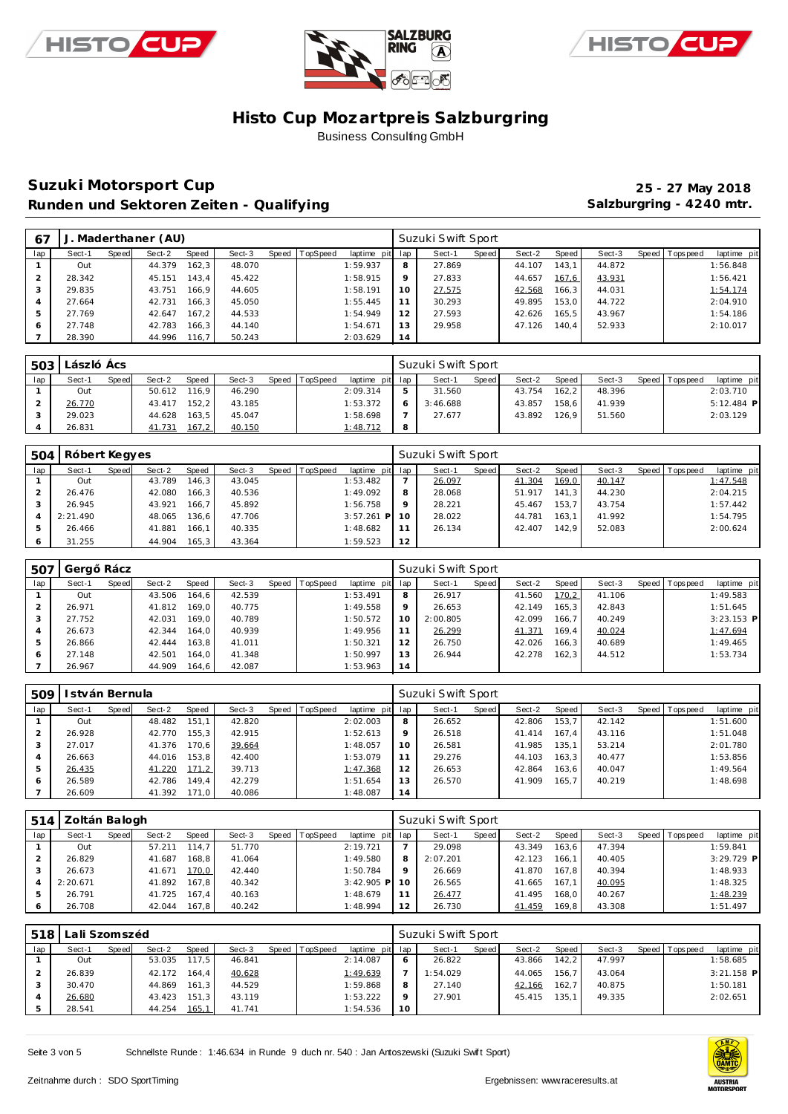





### **Suzuki Motorsport Cup 25 - 27 May 2018** Runden und Sektoren Zeiten - Qualifying **Salzburgring - 4240 mtr.** Salzburgring - 4240 mtr.

| 67  | J.     |       | Maderthaner (AU) |       |        |                |                 |    | Suzuki Swift Sport |       |        |       |        |         |            |             |
|-----|--------|-------|------------------|-------|--------|----------------|-----------------|----|--------------------|-------|--------|-------|--------|---------|------------|-------------|
| lap | Sect-1 | Speed | Sect-2           | Speed | Sect-3 | Speed TopSpeed | laptime pit lap |    | Sect-1             | Speed | Sect-2 | Speed | Sect-3 | Speed I | T ops peed | laptime pit |
|     | Out    |       | 44.379           | 162.3 | 48.070 |                | 1:59.937        | 8  | 27.869             |       | 44.107 | 143.1 | 44.872 |         |            | 1:56.848    |
|     | 28.342 |       | 45.151           | 143.4 | 45.422 |                | 1:58.915        | 9  | 27.833             |       | 44.657 | 167,6 | 43.931 |         |            | 1:56.421    |
| 3   | 29.835 |       | 43.751           | 166.9 | 44.605 |                | 1:58.191        | 10 | 27.575             |       | 42.568 | 166,3 | 44.031 |         |            | 1:54.174    |
| 4   | 27.664 |       | 42.731           | 166.3 | 45.050 |                | 1:55.445        | 11 | 30.293             |       | 49.895 | 153,0 | 44.722 |         |            | 2:04.910    |
| 5   | 27.769 |       | 42.647           | 167.2 | 44.533 |                | 1:54.949        | 12 | 27.593             |       | 42.626 | 165.5 | 43.967 |         |            | 1:54.186    |
| 6   | 27.748 |       | 42.783           | 166.3 | 44.140 |                | 1:54.671        | 13 | 29.958             |       | 47.126 | 140.4 | 52.933 |         |            | 2:10.017    |
|     | 28.390 |       | 44.996           | 116,7 | 50.243 |                | 2:03.629        | 14 |                    |       |        |       |        |         |            |             |

| 503 | László Ács |       |        |       |        |       |          |                 | Suzuki Swift Sport |       |        |         |        |                 |              |  |
|-----|------------|-------|--------|-------|--------|-------|----------|-----------------|--------------------|-------|--------|---------|--------|-----------------|--------------|--|
| lap | Sect-1     | Speed | Sect-2 | Speed | Sect-3 | Speed | TopSpeed | laptime pit lap | Sect-1             | Speed | Sect-2 | Speed I | Sect-3 | Speed Tops peed | laptime pit  |  |
|     | Out        |       | 50.612 | 116.9 | 46.290 |       |          | 2:09.314        | 31.560             |       | 43.754 | 162.2   | 48.396 |                 | 2:03.710     |  |
|     | 26.770     |       | 43.417 | 152.2 | 43.185 |       |          | 1:53.372        | 3:46.688           |       | 43.857 | 158.6   | 41.939 |                 | $5:12.484$ P |  |
|     | 29.023     |       | 44.628 | 163.5 | 45.047 |       |          | 1:58.698        | 27.677             |       | 43.892 | 126.9   | 51.560 |                 | 2:03.129     |  |
|     | 26.831     |       | 41.731 | 167,2 | 40.150 |       |          | 1:48.712        |                    |       |        |         |        |                 |              |  |

| 504 | Róbert Kegyes |       |        |       |        |       |          |                 |         | Suzuki Swift Sport |       |        |       |        |                |             |
|-----|---------------|-------|--------|-------|--------|-------|----------|-----------------|---------|--------------------|-------|--------|-------|--------|----------------|-------------|
| lap | Sect-1        | Speed | Sect-2 | Speed | Sect-3 | Speed | TopSpeed | laptime pit lap |         | Sect-1             | Speed | Sect-2 | Speed | Sect-3 | Speed Topspeed | laptime pit |
|     | Out           |       | 43.789 | 146.3 | 43.045 |       |          | 1:53.482        |         | 26.097             |       | 41.304 | 169,0 | 40.147 |                | 1:47.548    |
|     | 26.476        |       | 42.080 | 166.3 | 40.536 |       |          | 1:49.092        | 8       | 28.068             |       | 51.917 | 141.3 | 44.230 |                | 2:04.215    |
|     | 26.945        |       | 43.921 | 166.7 | 45.892 |       |          | 1:56.758        | $\circ$ | 28.221             |       | 45.467 | 153.7 | 43.754 |                | 1:57.442    |
|     | 2:21.490      |       | 48.065 | 136,6 | 47.706 |       |          | 3:57.261<br>P   |         | 28.022             |       | 44.781 | 163.1 | 41.992 |                | 1:54.795    |
| 5   | 26.466        |       | 41.881 | 166.1 | 40.335 |       |          | 1:48.682        |         | 26.134             |       | 42.407 | 142.9 | 52.083 |                | 2:00.624    |
| O   | 31.255        |       | 44.904 | 165.3 | 43.364 |       |          | 1:59.523        | 12      |                    |       |        |       |        |                |             |

| 507 | Gerg   | Rácz  |        |       |        |       |          |             |         | Suzuki Swift Sport |       |        |       |        |         |            |              |
|-----|--------|-------|--------|-------|--------|-------|----------|-------------|---------|--------------------|-------|--------|-------|--------|---------|------------|--------------|
| lap | Sect-1 | Speed | Sect-2 | Speed | Sect-3 | Speed | TopSpeed | laptime pit | lap     | Sect-1             | Speed | Sect-2 | Speed | Sect-3 | Speed I | T ops peed | laptime pit  |
|     | Out    |       | 43.506 | 164.6 | 42.539 |       |          | 1:53.491    | 8       | 26.917             |       | 41.560 | 170,2 | 41.106 |         |            | 1:49.583     |
|     | 26.971 |       | 41.812 | 169.0 | 40.775 |       |          | 1:49.558    | $\circ$ | 26.653             |       | 42.149 | 165.3 | 42.843 |         |            | 1:51.645     |
|     | 27.752 |       | 42.031 | 169.0 | 40.789 |       |          | 1:50.572    | 10      | 2:00.805           |       | 42.099 | 166.7 | 40.249 |         |            | $3:23.153$ P |
|     | 26.673 |       | 42.344 | 164.0 | 40.939 |       |          | 1:49.956    |         | 26.299             |       | 41.371 | 169.4 | 40.024 |         |            | 1:47.694     |
|     | 26.866 |       | 42.444 | 163.8 | 41.011 |       |          | 1:50.321    | 12      | 26.750             |       | 42.026 | 166.3 | 40.689 |         |            | 1:49.465     |
|     | 27.148 |       | 42.501 | 164.0 | 41.348 |       |          | 1:50.997    | 13      | 26.944             |       | 42.278 | 162.3 | 44.512 |         |            | 1:53.734     |
|     | 26.967 |       | 44.909 | 164.6 | 42.087 |       |          | 1:53.963    | 14      |                    |       |        |       |        |         |            |              |

| 509 | I stván Bernula |       |        |       |        |       |          |             |                | Suzuki Swift Sport |       |        |       |        |       |             |             |
|-----|-----------------|-------|--------|-------|--------|-------|----------|-------------|----------------|--------------------|-------|--------|-------|--------|-------|-------------|-------------|
| lap | Sect-1          | Speed | Sect-2 | Speed | Sect-3 | Speed | TopSpeed | laptime pit | lap            | Sect-1             | Speed | Sect-2 | Speed | Sect-3 | Speed | T ops pee d | laptime pit |
|     | Out             |       | 48.482 | 151.1 | 42.820 |       |          | 2:02.003    | 8              | 26.652             |       | 42.806 | 153.7 | 42.142 |       |             | 1:51.600    |
|     | 26.928          |       | 42.770 | 155.3 | 42.915 |       |          | 1:52.613    | $\circ$        | 26.518             |       | 41.414 | 167.4 | 43.116 |       |             | 1:51.048    |
|     | 27.017          |       | 41.376 | 170.6 | 39.664 |       |          | 1:48.057    | 10             | 26.581             |       | 41.985 | 135.1 | 53.214 |       |             | 2:01.780    |
|     | 26.663          |       | 44.016 | 153.8 | 42.400 |       |          | 1:53.079    |                | 29.276             |       | 44.103 | 163,3 | 40.477 |       |             | 1:53.856    |
|     | 26.435          |       | 41.220 | 171.2 | 39.713 |       |          | 1:47.368    | 12             | 26.653             |       | 42.864 | 163.6 | 40.047 |       |             | 1:49.564    |
| 6   | 26.589          |       | 42.786 | 149.4 | 42.279 |       |          | 1:51.654    | <sub>1</sub> 3 | 26.570             |       | 41.909 | 165.7 | 40.219 |       |             | 1:48.698    |
|     | 26.609          |       | 41.392 | 171.0 | 40.086 |       |          | 1:48.087    | 14             |                    |       |        |       |        |       |             |             |

| 514 | Zoltán Balogh |       |        |              |        |       |                 |                 |         | Suzuki Swift Sport |       |        |                    |        |                 |             |
|-----|---------------|-------|--------|--------------|--------|-------|-----------------|-----------------|---------|--------------------|-------|--------|--------------------|--------|-----------------|-------------|
| lap | Sect-1        | Speed | Sect-2 | <b>Speed</b> | Sect-3 | Speed | <b>TopSpeed</b> | laptime pit lap |         | Sect-1             | Speed | Sect-2 | Speed              | Sect-3 | Speed Tops peed | laptime pit |
|     | Out           |       | 57.211 | 114.7        | 51.770 |       |                 | 2:19.721        |         | 29.098             |       | 43.349 | 163.6              | 47.394 |                 | 1:59.841    |
|     | 26.829        |       | 41.687 | 168.8        | 41.064 |       |                 | 1:49.580        | 8       | 2:07.201           |       | 42.123 | 166.1              | 40.405 |                 | 3:29.729 P  |
|     | 26.673        |       | 41.671 | 170,0        | 42.440 |       |                 | 1:50.784        | $\circ$ | 26.669             |       | 41.870 | 167.8 <sub>1</sub> | 40.394 |                 | 1:48.933    |
|     | 2:20.671      |       | 41.892 | 167.8        | 40.342 |       |                 | $3:42.905$ P    |         | 26.565             |       | 41.665 | 167.1              | 40.095 |                 | 1:48.325    |
|     | 26.791        |       | 41.725 | 167.4        | 40.163 |       |                 | 1:48.679        |         | 26.477             |       | 41.495 | 168.0              | 40.267 |                 | 1:48.239    |
|     | 26.708        |       | 42.044 | 167.8        | 40.242 |       |                 | 1:48.994        | 12      | 26.730             |       | 41.459 | 169,8              | 43.308 |                 | 1:51.497    |

| 518 | Lali Szomszéd |       |              |       |        |                |                 |    | Suzuki Swift Sport |       |        |        |        |                |              |
|-----|---------------|-------|--------------|-------|--------|----------------|-----------------|----|--------------------|-------|--------|--------|--------|----------------|--------------|
| lap | Sect-1        | Speed | Sect-2       | Speed | Sect-3 | Speed TopSpeed | laptime pit lap |    | Sect-1             | Speed | Sect-2 | Speed  | Sect-3 | Speed Topspeed | laptime pit  |
|     | Out           |       | 53.035 117.5 |       | 46.841 |                | 2:14.087        |    | 26.822             |       | 43.866 | 142.21 | 47.997 |                | 1:58.685     |
|     | 26.839        |       | 42.172       | 164.4 | 40.628 |                | 1:49.639        |    | 1:54.029           |       | 44.065 | 156.7  | 43.064 |                | $3:21.158$ P |
|     | 30.470        |       | 44.869       | 161.3 | 44.529 |                | 1:59.868        |    | 27.140             |       | 42.166 | 162.7  | 40.875 |                | 1:50.181     |
|     | 26.680        |       | 43.423       | 151.3 | 43.119 |                | 1:53.222        |    | 27.901             |       | 45.415 | 135.1  | 49.335 |                | 2:02.651     |
|     | 28.541        |       | 44.254       | 165,1 | 41.741 |                | 1:54.536        | 10 |                    |       |        |        |        |                |              |

Seite 3 von 5 Schnellste Runde : 1:46.634 in Runde 9 duch nr. 540 : Jan Antoszewski (Suzuki Swift Sport)

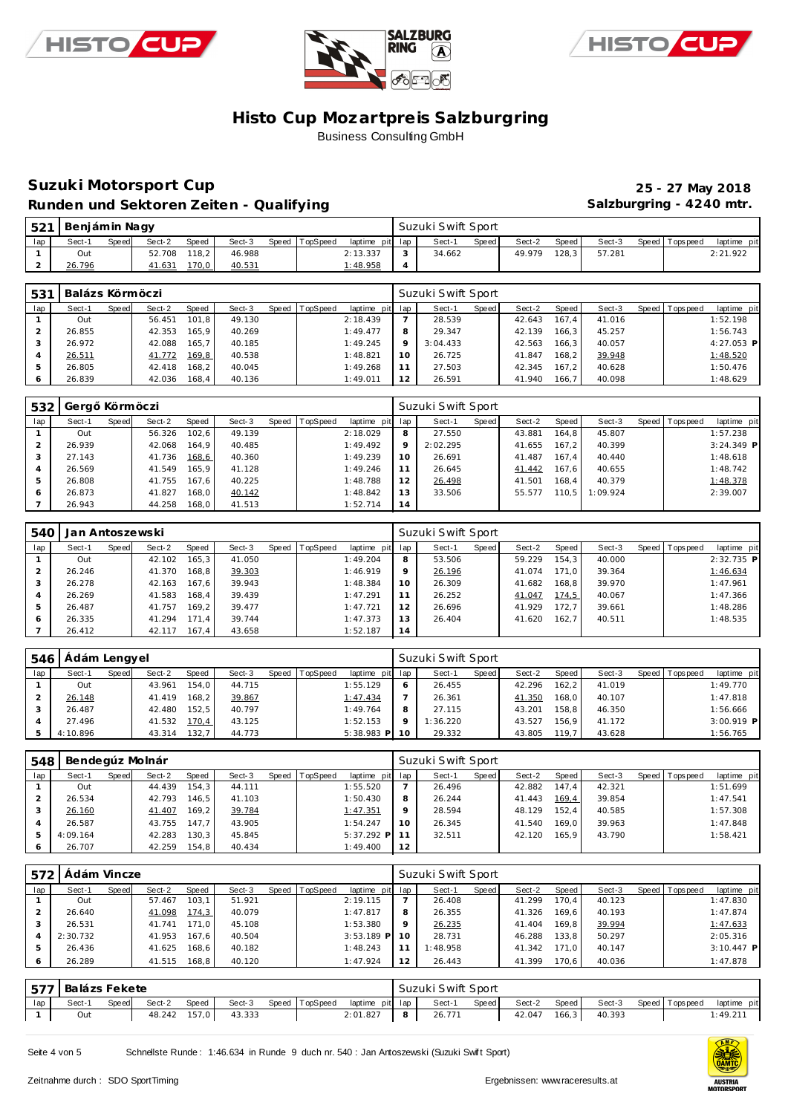





### **Suzuki Motorsport Cup 25 - 27 May 2018** Runden und Sektoren Zeiten - Qualifying **Salzburgring - 4240 mtr.** Salzburgring - 4240 mtr.

| 521 | Benjámin Nagy |       |        |       |        |                |                 | Suzuki Swift Sport |       |        |                    |        |                 |             |
|-----|---------------|-------|--------|-------|--------|----------------|-----------------|--------------------|-------|--------|--------------------|--------|-----------------|-------------|
| lap | Sect-1        | Speed | Sect-2 | Speed | Sect-3 | Speed TopSpeed | laptime pit lap | Sect-1             | Speed | Sect-2 | Speed I            | Sect-3 | Speed Tops peed | laptime pit |
|     | Out           |       | 52.708 | 118.2 | 46.988 |                | 2:13.337        | 34.662             |       | 49.979 | 128.3 <sub>1</sub> | 57.281 |                 | 2:21.922    |
|     | 26.796        |       | 41.631 | 70,0  | 40.531 |                | 1:48.958        |                    |       |        |                    |        |                 |             |

| 531 | Balázs Körmöczi |       |        |       |        |       |                 |                 |         | Suzuki Swift Sport |         |        |       |        |                |              |
|-----|-----------------|-------|--------|-------|--------|-------|-----------------|-----------------|---------|--------------------|---------|--------|-------|--------|----------------|--------------|
| lap | Sect-1          | Speed | Sect-2 | Speed | Sect-3 | Speed | <b>TopSpeed</b> | laptime pit lap |         | Sect-1             | Speed I | Sect-2 | Speed | Sect-3 | Speed Topspeed | laptime pit  |
|     | Out             |       | 56.451 | 101.8 | 49.130 |       |                 | 2:18.439        |         | 28.539             |         | 42.643 | 167.4 | 41.016 |                | 1:52.198     |
|     | 26.855          |       | 42.353 | 165.9 | 40.269 |       |                 | 1:49.477        | 8       | 29.347             |         | 42.139 | 166.3 | 45.257 |                | 1:56.743     |
|     | 26.972          |       | 42.088 | 165.7 | 40.185 |       |                 | 1:49.245        | $\circ$ | 3:04.433           |         | 42.563 | 166.3 | 40.057 |                | $4:27.053$ P |
|     | 26.511          |       | 41.772 | 169,8 | 40.538 |       |                 | 1:48.821        | 10      | 26.725             |         | 41.847 | 168.2 | 39.948 |                | 1:48.520     |
|     | 26.805          |       | 42.418 | 168.2 | 40.045 |       |                 | 1:49.268        | 11      | 27.503             |         | 42.345 | 167.2 | 40.628 |                | 1:50.476     |
|     | 26.839          |       | 42.036 | 168.4 | 40.136 |       |                 | 1:49.011        | 12      | 26.591             |         | 41.940 | 166.7 | 40.098 |                | 1:48.629     |

| 532    | Gerg   | Körm öczi |        |       |        |                |                 |         | Suzuki Swift Sport |         |        |       |          |                 |              |
|--------|--------|-----------|--------|-------|--------|----------------|-----------------|---------|--------------------|---------|--------|-------|----------|-----------------|--------------|
| lap    | Sect-1 | Speed     | Sect-2 | Speed | Sect-3 | Speed TopSpeed | laptime pit lap |         | Sect-1             | Speed I | Sect-2 | Speed | Sect-3   | Speed Tops peed | laptime pit  |
|        | Out    |           | 56.326 | 102.6 | 49.139 |                | 2:18.029        | 8       | 27.550             |         | 43.881 | 164.8 | 45.807   |                 | 1:57.238     |
| $\sim$ | 26.939 |           | 42.068 | 164.9 | 40.485 |                | 1:49.492        | $\circ$ | 2:02.295           |         | 41.655 | 167.2 | 40.399   |                 | $3:24.349$ P |
|        | 27.143 |           | 41.736 | 168,6 | 40.360 |                | 1:49.239        | 10      | 26.691             |         | 41.487 | 167.4 | 40.440   |                 | 1:48.618     |
| 4      | 26.569 |           | 41.549 | 165.9 | 41.128 |                | 1:49.246        |         | 26.645             |         | 41.442 | 167.6 | 40.655   |                 | 1:48.742     |
| 5      | 26.808 |           | 41.755 | 167.6 | 40.225 |                | 1:48.788        | 12      | 26.498             |         | 41.501 | 168.4 | 40.379   |                 | 1:48.378     |
| 6      | 26.873 |           | 41.827 | 168,0 | 40.142 |                | 1:48.842        | 13      | 33.506             |         | 55.577 | 110.5 | 1:09.924 |                 | 2:39.007     |
|        | 26.943 |           | 44.258 | 168.0 | 41.513 |                | 1:52.714        | 14      |                    |         |        |       |          |                 |              |

| 540 | Jan Antoszewski |       |        |       |        |       |          |                 | Suzuki Swift Sport |        |       |        |       |        |  |                 |              |  |  |
|-----|-----------------|-------|--------|-------|--------|-------|----------|-----------------|--------------------|--------|-------|--------|-------|--------|--|-----------------|--------------|--|--|
| lap | Sect-1          | Speed | Sect-2 | Speed | Sect-3 | Speed | TopSpeed | laptime pit lap |                    | Sect-1 | Speed | Sect-2 | Speed | Sect-3 |  | Speed Tops peed | laptime pit  |  |  |
|     | Out             |       | 42.102 | 165.3 | 41.050 |       |          | 1:49.204        | 8                  | 53.506 |       | 59.229 | 154.3 | 40.000 |  |                 | $2:32.735$ P |  |  |
|     | 26.246          |       | 41.370 | 168.8 | 39.303 |       |          | 1:46.919        | $\circ$            | 26.196 |       | 41.074 | 171.0 | 39.364 |  |                 | 1:46.634     |  |  |
|     | 26.278          |       | 42.163 | 167.6 | 39.943 |       |          | 1:48.384        | 10                 | 26.309 |       | 41.682 | 168.8 | 39.970 |  |                 | 1:47.961     |  |  |
| 4   | 26.269          |       | 41.583 | 168.4 | 39.439 |       |          | 1:47.291        |                    | 26.252 |       | 41.047 | 174,5 | 40.067 |  |                 | 1:47.366     |  |  |
| 5   | 26.487          |       | 41.757 | 169.2 | 39.477 |       |          | 1:47.721        | 12                 | 26.696 |       | 41.929 | 172.7 | 39.661 |  |                 | 1:48.286     |  |  |
| 6   | 26.335          |       | 41.294 | 171.4 | 39.744 |       |          | 1:47.373        | 13                 | 26.404 |       | 41.620 | 162.7 | 40.511 |  |                 | 1:48.535     |  |  |
|     | 26.412          |       | 42.117 | 167.4 | 43.658 |       |          | 1:52.187        | 14                 |        |       |        |       |        |  |                 |              |  |  |

| 546 | ı Ádám Lengyel |       |        |       |        |                  |                 | Suzuki Swift Sport |       |        |       |        |                 |              |
|-----|----------------|-------|--------|-------|--------|------------------|-----------------|--------------------|-------|--------|-------|--------|-----------------|--------------|
| lap | Sect-1         | Speed | Sect-2 | Speed | Sect-3 | Speed   TopSpeed | laptime pit lap | Sect-1             | Speed | Sect-2 | Speed | Sect-3 | Speed Tops peed | laptime pit  |
|     | Out            |       | 43.961 | 154.0 | 44.715 |                  | 1:55.129        | 26.455             |       | 42.296 | 162.2 | 41.019 |                 | 1:49.770     |
|     | 26.148         |       | 41.419 | 168.2 | 39.867 |                  | 1:47.434        | 26.361             |       | 41.350 | 168.0 | 40.107 |                 | 1:47.818     |
|     | 26.487         |       | 42.480 | 152.5 | 40.797 |                  | 1:49.764        | 27.115             |       | 43.201 | 158.8 | 46.350 |                 | 1:56.666     |
|     | 27.496         |       | 41.532 | 170,4 | 43.125 |                  | 1:52.153        | 1:36.220           |       | 43.527 | 156.9 | 41.172 |                 | $3:00.919$ P |
|     | 4:10.896       |       | 43.314 | 132.7 | 44.773 |                  | $5:38.983$ P    | 29.332             |       | 43.805 | 119.7 | 43.628 |                 | 1:56.765     |

| 548 | Bendegúz Molnár |       |        |       |        |       |          |              | Suzuki Swift Sport |        |       |        |        |        |  |                |             |  |
|-----|-----------------|-------|--------|-------|--------|-------|----------|--------------|--------------------|--------|-------|--------|--------|--------|--|----------------|-------------|--|
| lap | Sect-1          | Speed | Sect-2 | Speed | Sect-3 | Speed | TopSpeed | laptime      | pit lap            | Sect-1 | Speed | Sect-2 | Speed  | Sect-3 |  | Speed Topspeed | laptime pit |  |
|     | Out             |       | 44.439 | 154.3 | 44.111 |       |          | 1:55.520     |                    | 26.496 |       | 42.882 | 147.4  | 42.321 |  |                | 1:51.699    |  |
|     | 26.534          |       | 42.793 | 146.5 | 41.103 |       |          | 1:50.430     | 8                  | 26.244 |       | 41.443 | 169.4  | 39.854 |  |                | 1:47.541    |  |
|     | 26.160          |       | 41.407 | 169,2 | 39.784 |       |          | 1:47.351     | $\circ$            | 28.594 |       | 48.129 | 152.4  | 40.585 |  |                | 1:57.308    |  |
|     | 26.587          |       | 43.755 | 147.7 | 43.905 |       |          | 1:54.247     | 10                 | 26.345 |       | 41.540 | 169.01 | 39.963 |  |                | 1:47.848    |  |
|     | 4:09.164        |       | 42.283 | 130,3 | 45.845 |       |          | $5:37.292$ P |                    | 32.511 |       | 42.120 | 165.9  | 43.790 |  |                | 1:58.421    |  |
|     | 26.707          |       | 42.259 | 154.8 | 40.434 |       |          | 1:49.400     | 12                 |        |       |        |        |        |  |                |             |  |

| 572 | Ádám Vincze |       |        |       |        |                |                 | Suzuki Swift Sport |          |       |        |       |        |  |                |              |
|-----|-------------|-------|--------|-------|--------|----------------|-----------------|--------------------|----------|-------|--------|-------|--------|--|----------------|--------------|
| lap | Sect-1      | Speed | Sect-2 | Speed | Sect-3 | Speed TopSpeed | laptime pit lap |                    | Sect-1   | Speed | Sect-2 | Speed | Sect-3 |  | Speed Topspeed | laptime pit  |
|     | Out         |       | 57.467 | 103.1 | 51.921 |                | 2:19.115        |                    | 26.408   |       | 41.299 | 170.4 | 40.123 |  |                | 1:47.830     |
|     | 26.640      |       | 41.098 | 174,3 | 40.079 |                | 1:47.817        | 8                  | 26.355   |       | 41.326 | 169.6 | 40.193 |  |                | 1:47.874     |
|     | 26.531      |       | 41.741 | 171.0 | 45.108 |                | 1:53.380        | $\Omega$           | 26.235   |       | 41.404 | 169.8 | 39.994 |  |                | 1:47.633     |
|     | 2:30.732    |       | 41.953 | 167.6 | 40.504 |                | $3:53.189$ P    |                    | 28.731   |       | 46.288 | 133.8 | 50.297 |  |                | 2:05.316     |
|     | 26.436      |       | 41.625 | 168.6 | 40.182 |                | 1:48.243        |                    | 1:48.958 |       | 41.342 | 171.0 | 40.147 |  |                | $3:10.447$ P |
|     | 26.289      |       | 41.515 | 168.8 | 40.120 |                | 1:47.924        | 12                 | 26.443   |       | 41.399 | 170.6 | 40.036 |  |                | 1:47.878     |

|     | 577   Balázs Fekete<br>Speed TopSpeed |       |              |       |        |  |  |                 | Suzuki Swift Sport |        |       |        |       |        |  |                   |             |
|-----|---------------------------------------|-------|--------------|-------|--------|--|--|-----------------|--------------------|--------|-------|--------|-------|--------|--|-------------------|-------------|
| lap | Sect-1                                | Speed | Sect-2       | Speed | Sect-3 |  |  | laptime pit lap |                    | Sect-1 | Speed | Sect-2 | Speed | Sect-3 |  | Speed   Tops peed | laptime pit |
|     | Out                                   |       | 48.242 157,0 |       | 43.333 |  |  | 2:01.827        |                    | 26.771 |       | 42.047 | 166,3 | 40.393 |  |                   | : 49.211    |

Seite 4 von 5 Schnellste Runde : 1:46.634 in Runde 9 duch nr. 540 : Jan Antoszewski (Suzuki Swift Sport)